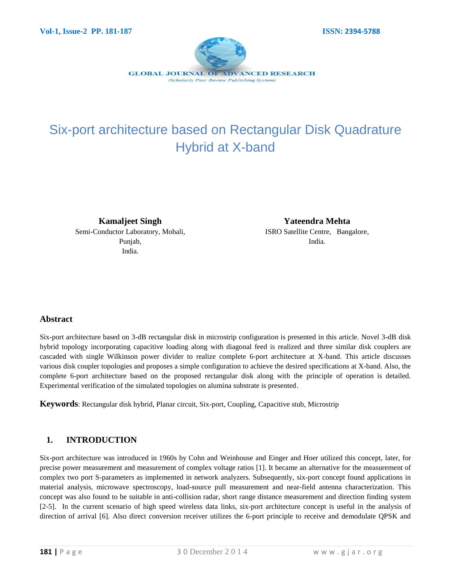

# Six-port architecture based on Rectangular Disk Quadrature Hybrid at X-band

**Kamaljeet Singh** Semi-Conductor Laboratory, Mohali,

Punjab, India.

**Yateendra Mehta** ISRO Satellite Centre, Bangalore, India.

## **Abstract**

Six-port architecture based on 3-dB rectangular disk in microstrip configuration is presented in this article. Novel 3-dB disk hybrid topology incorporating capacitive loading along with diagonal feed is realized and three similar disk couplers are cascaded with single Wilkinson power divider to realize complete 6-port architecture at X-band. This article discusses various disk coupler topologies and proposes a simple configuration to achieve the desired specifications at X-band. Also, the complete 6-port architecture based on the proposed rectangular disk along with the principle of operation is detailed. Experimental verification of the simulated topologies on alumina substrate is presented.

**Keywords**: Rectangular disk hybrid, Planar circuit, Six-port, Coupling, Capacitive stub, Microstrip

## **1. INTRODUCTION**

Six-port architecture was introduced in 1960s by Cohn and Weinhouse and Einger and Hoer utilized this concept, later, for precise power measurement and measurement of complex voltage ratios [1]. It became an alternative for the measurement of complex two port S-parameters as implemented in network analyzers. Subsequently, six-port concept found applications in material analysis, microwave spectroscopy, load-source pull measurement and near-field antenna characterization. This concept was also found to be suitable in anti-collision radar, short range distance measurement and direction finding system [2-5]. In the current scenario of high speed wireless data links, six-port architecture concept is useful in the analysis of direction of arrival [6]. Also direct conversion receiver utilizes the 6-port principle to receive and demodulate QPSK and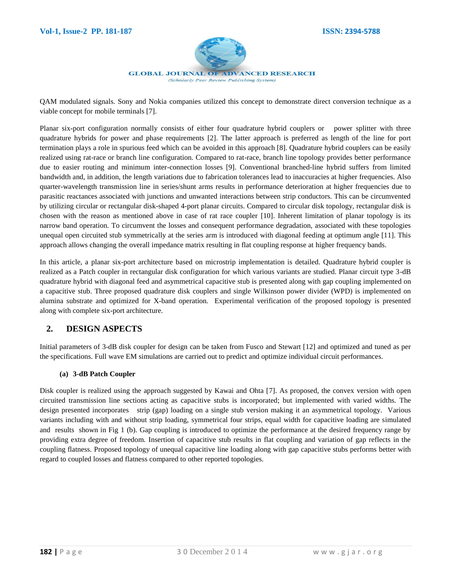

QAM modulated signals. Sony and Nokia companies utilized this concept to demonstrate direct conversion technique as a viable concept for mobile terminals [7].

Planar six-port configuration normally consists of either four quadrature hybrid couplers or power splitter with three quadrature hybrids for power and phase requirements [2]. The latter approach is preferred as length of the line for port termination plays a role in spurious feed which can be avoided in this approach [8]. Quadrature hybrid couplers can be easily realized using rat-race or branch line configuration. Compared to rat-race, branch line topology provides better performance due to easier routing and minimum inter-connection losses [9]. Conventional branched-line hybrid suffers from limited bandwidth and, in addition, the length variations due to fabrication tolerances lead to inaccuracies at higher frequencies. Also quarter-wavelength transmission line in series/shunt arms results in performance deterioration at higher frequencies due to parasitic reactances associated with junctions and unwanted interactions between strip conductors. This can be circumvented by utilizing circular or rectangular disk-shaped 4-port planar circuits. Compared to circular disk topology, rectangular disk is chosen with the reason as mentioned above in case of rat race coupler [10]. Inherent limitation of planar topology is its narrow band operation. To circumvent the losses and consequent performance degradation, associated with these topologies unequal open circuited stub symmetrically at the series arm is introduced with diagonal feeding at optimum angle [11]. This approach allows changing the overall impedance matrix resulting in flat coupling response at higher frequency bands.

In this article, a planar six-port architecture based on microstrip implementation is detailed. Quadrature hybrid coupler is realized as a Patch coupler in rectangular disk configuration for which various variants are studied. Planar circuit type 3-dB quadrature hybrid with diagonal feed and asymmetrical capacitive stub is presented along with gap coupling implemented on a capacitive stub. Three proposed quadrature disk couplers and single Wilkinson power divider (WPD) is implemented on alumina substrate and optimized for X-band operation. Experimental verification of the proposed topology is presented along with complete six-port architecture.

## **2. DESIGN ASPECTS**

Initial parameters of 3-dB disk coupler for design can be taken from Fusco and Stewart [12] and optimized and tuned as per the specifications. Full wave EM simulations are carried out to predict and optimize individual circuit performances.

#### **(a) 3-dB Patch Coupler**

Disk coupler is realized using the approach suggested by Kawai and Ohta [7]. As proposed, the convex version with open circuited transmission line sections acting as capacitive stubs is incorporated; but implemented with varied widths. The design presented incorporates strip (gap) loading on a single stub version making it an asymmetrical topology. Various variants including with and without strip loading, symmetrical four strips, equal width for capacitive loading are simulated and results shown in Fig 1 (b). Gap coupling is introduced to optimize the performance at the desired frequency range by providing extra degree of freedom. Insertion of capacitive stub results in flat coupling and variation of gap reflects in the coupling flatness. Proposed topology of unequal capacitive line loading along with gap capacitive stubs performs better with regard to coupled losses and flatness compared to other reported topologies.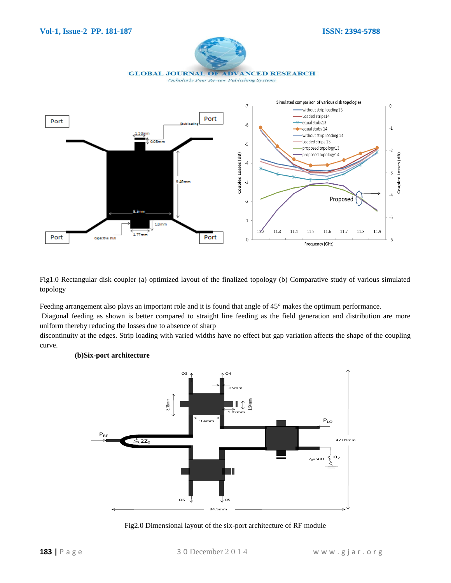



Fig1.0 Rectangular disk coupler (a) optimized layout of the finalized topology (b) Comparative study of various simulated topology

Feeding arrangement also plays an important role and it is found that angle of 45° makes the optimum performance.

Diagonal feeding as shown is better compared to straight line feeding as the field generation and distribution are more uniform thereby reducing the losses due to absence of sharp

discontinuity at the edges. Strip loading with varied widths have no effect but gap variation affects the shape of the coupling curve.



#### **(b)Six-port architecture**

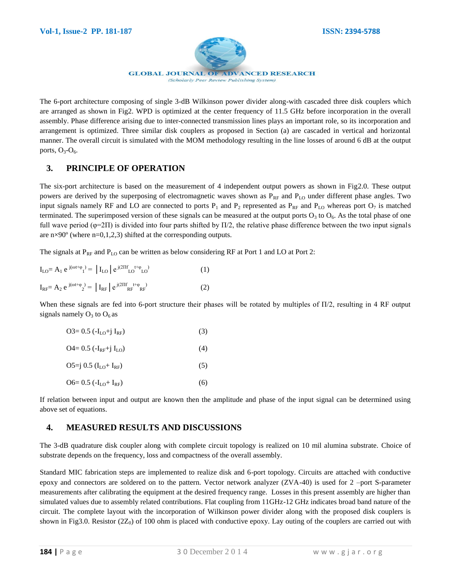

The 6-port architecture composing of single 3-dB Wilkinson power divider along-with cascaded three disk couplers which are arranged as shown in Fig2. WPD is optimized at the center frequency of 11.5 GHz before incorporation in the overall assembly. Phase difference arising due to inter-connected transmission lines plays an important role, so its incorporation and arrangement is optimized. Three similar disk couplers as proposed in Section (a) are cascaded in vertical and horizontal manner. The overall circuit is simulated with the MOM methodology resulting in the line losses of around 6 dB at the output ports,  $O_3-O_6$ .

## **3. PRINCIPLE OF OPERATION**

The six-port architecture is based on the measurement of 4 independent output powers as shown in Fig2.0. These output powers are derived by the superposing of electromagnetic waves shown as  $P_{RF}$  and  $P_{LO}$  under different phase angles. Two input signals namely RF and LO are connected to ports  $P_1$  and  $P_2$  represented as  $P_{RF}$  and  $P_{LO}$  whereas port  $O_7$  is matched terminated. The superimposed version of these signals can be measured at the output ports  $O_3$  to  $O_6$ . As the total phase of one full wave period ( $\varphi$ =2Π) is divided into four parts shifted by  $\Pi/2$ , the relative phase difference between the two input signals are  $n\times 90^\circ$  (where  $n=0,1,2,3$ ) shifted at the corresponding outputs.

The signals at  $P_{RF}$  and  $P_{LO}$  can be written as below considering RF at Port 1 and LO at Port 2:

| $I_{LO} = A_1 e^{j(\omega t + \varphi)} =  I_{LO}  e^{j(2\Pi f + \varphi)}$      |     |
|----------------------------------------------------------------------------------|-----|
| $I_{RF} = A_2 e^{j(\omega t + \varphi_2)} =  I_{RF}  e^{j(2 \Pi f + \varphi_2)}$ | (2) |

When these signals are fed into 6-port structure their phases will be rotated by multiples of  $\Pi/2$ , resulting in 4 RF output signals namely  $O_3$  to  $O_6$  as

| $O3 = 0.5$ ( $-I_{LO} + i I_{RF}$ )  | (3) |
|--------------------------------------|-----|
| $Q4 = 0.5$ ( $-I_{RF}$ +j $I_{LO}$ ) | (4) |
| $O5 = j 0.5 (ILO+IRF)$               | (5) |
| O6= 0.5 $(-I_{LO} + I_{RF})$         | (6) |

If relation between input and output are known then the amplitude and phase of the input signal can be determined using above set of equations.

## **4. MEASURED RESULTS AND DISCUSSIONS**

The 3-dB quadrature disk coupler along with complete circuit topology is realized on 10 mil alumina substrate. Choice of substrate depends on the frequency, loss and compactness of the overall assembly.

Standard MIC fabrication steps are implemented to realize disk and 6-port topology. Circuits are attached with conductive epoxy and connectors are soldered on to the pattern. Vector network analyzer (ZVA-40) is used for 2 –port S-parameter measurements after calibrating the equipment at the desired frequency range. Losses in this present assembly are higher than simulated values due to assembly related contributions. Flat coupling from 11GHz-12 GHz indicates broad band nature of the circuit. The complete layout with the incorporation of Wilkinson power divider along with the proposed disk couplers is shown in Fig3.0. Resistor  $(2Z_0)$  of 100 ohm is placed with conductive epoxy. Lay outing of the couplers are carried out with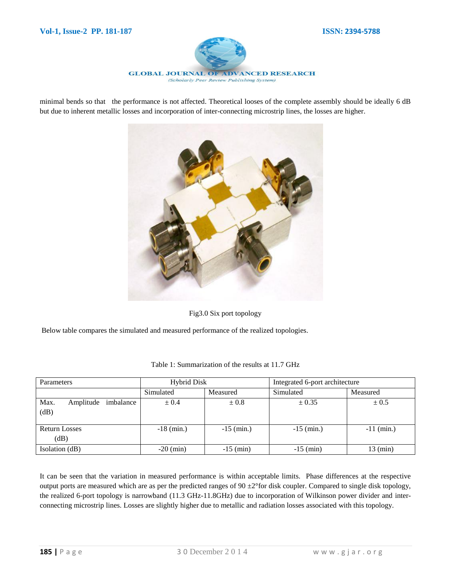

minimal bends so that the performance is not affected. Theoretical looses of the complete assembly should be ideally 6 dB but due to inherent metallic losses and incorporation of inter-connecting microstrip lines, the losses are higher.



Fig3.0 Six port topology

Below table compares the simulated and measured performance of the realized topologies.

| Parameters                             | <b>Hybrid Disk</b> |              | Integrated 6-port architecture |              |
|----------------------------------------|--------------------|--------------|--------------------------------|--------------|
|                                        | Simulated          | Measured     | Simulated                      | Measured     |
| Max.<br>imbalance<br>Amplitude<br>(dB) | $\pm 0.4$          | $\pm 0.8$    | ± 0.35                         | $\pm 0.5$    |
| <b>Return Losses</b><br>(dB)           | $-18$ (min.)       | $-15$ (min.) | $-15$ (min.)                   | $-11$ (min.) |
| Isolation (dB)                         | $-20$ (min)        | $-15$ (min)  | $-15$ (min)                    | 13 (min)     |

Table 1: Summarization of the results at 11.7 GHz

It can be seen that the variation in measured performance is within acceptable limits. Phase differences at the respective output ports are measured which are as per the predicted ranges of  $90 \pm 2^{\circ}$  for disk coupler. Compared to single disk topology, the realized 6-port topology is narrowband (11.3 GHz-11.8GHz) due to incorporation of Wilkinson power divider and interconnecting microstrip lines. Losses are slightly higher due to metallic and radiation losses associated with this topology.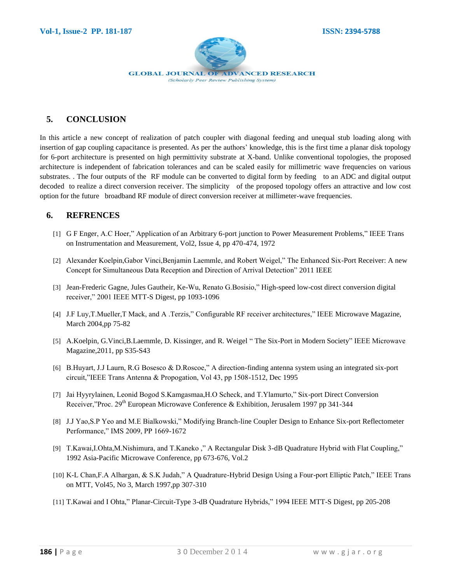

# **5. CONCLUSION**

In this article a new concept of realization of patch coupler with diagonal feeding and unequal stub loading along with insertion of gap coupling capacitance is presented. As per the authors' knowledge, this is the first time a planar disk topology for 6-port architecture is presented on high permittivity substrate at X-band. Unlike conventional topologies, the proposed architecture is independent of fabrication tolerances and can be scaled easily for millimetric wave frequencies on various substrates. . The four outputs of the RF module can be converted to digital form by feeding to an ADC and digital output decoded to realize a direct conversion receiver. The simplicity of the proposed topology offers an attractive and low cost option for the future broadband RF module of direct conversion receiver at millimeter-wave frequencies.

#### **6. REFRENCES**

- [1] G F Enger, A.C Hoer," Application of an Arbitrary 6-port junction to Power Measurement Problems," IEEE Trans on Instrumentation and Measurement, Vol2, Issue 4, pp 470-474, 1972
- [2] Alexander Koelpin,Gabor Vinci,Benjamin Laemmle, and Robert Weigel," The Enhanced Six-Port Receiver: A new Concept for Simultaneous Data Reception and Direction of Arrival Detection" 2011 IEEE
- [3] Jean-Frederic Gagne, Jules Gautheir, Ke-Wu, Renato G.Bosisio," High-speed low-cost direct conversion digital receiver," 2001 IEEE MTT-S Digest, pp 1093-1096
- [4] J.F Luy,T.Mueller,T Mack, and A .Terzis," Configurable RF receiver architectures," IEEE Microwave Magazine, March 2004,pp 75-82
- [5] A.Koelpin, G.Vinci,B.Laemmle, D. Kissinger, and R. Weigel " The Six-Port in Modern Society" IEEE Microwave Magazine,2011, pp S35-S43
- [6] B.Huyart, J.J Laurn, R.G Bosesco & D.Roscoe," A direction-finding antenna system using an integrated six-port circuit,"IEEE Trans Antenna & Propogation, Vol 43, pp 1508-1512, Dec 1995
- [7] Jai Hyyrylainen, Leonid Bogod S.Kamgasmaa,H.O Scheck, and T.Ylamurto," Six-port Direct Conversion Receiver,"Proc. 29<sup>th</sup> European Microwave Conference & Exhibition, Jerusalem 1997 pp 341-344
- [8] J.J Yao,S.P Yeo and M.E Bialkowski," Modifying Branch-line Coupler Design to Enhance Six-port Reflectometer Performance," IMS 2009, PP 1669-1672
- [9] T.Kawai,I.Ohta,M.Nishimura, and T.Kaneko ," A Rectangular Disk 3-dB Quadrature Hybrid with Flat Coupling," 1992 Asia-Pacific Microwave Conference, pp 673-676, Vol.2
- [10] K-L Chan,F.A Alhargan, & S.K Judah," A Quadrature-Hybrid Design Using a Four-port Elliptic Patch," IEEE Trans on MTT, Vol45, No 3, March 1997,pp 307-310
- [11] T.Kawai and I Ohta," Planar-Circuit-Type 3-dB Quadrature Hybrids," 1994 IEEE MTT-S Digest, pp 205-208